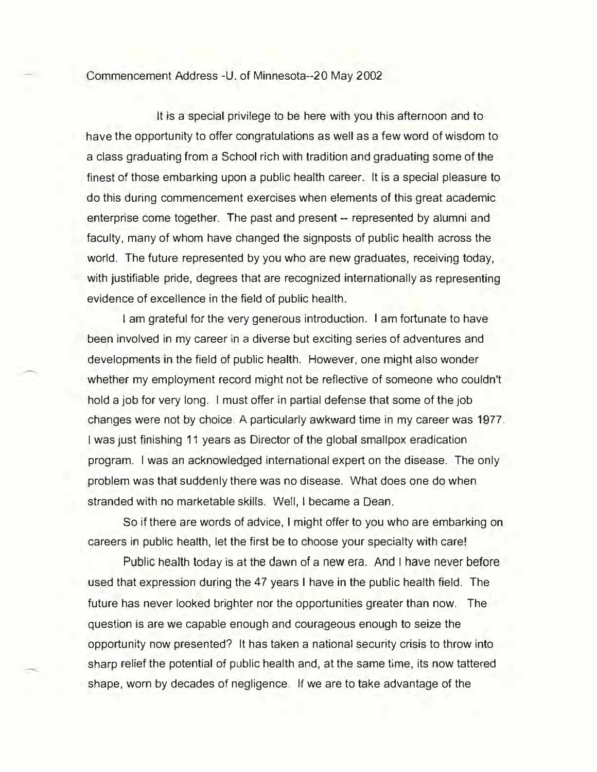Commencement Address -U. of Minnesota--20 May 2002

It is a special privilege to be here with you this afternoon and to have the opportunity to offer congratulations as well as a few word of wisdom to a class graduating from a School rich with tradition and graduating some of the finest of those embarking upon a public health career. It is a special pleasure to do this during commencement exercises when elements of this great academic enterprise come together. The past and present -- represented by alumni and faculty, many of whom have changed the signposts of public health across the world. The future represented by you who are new graduates, receiving today, with justifiable pride, degrees that are recognized internationally as representing evidence of excellence in the field of public health.

I am grateful for the very generous introduction. I am fortunate to have been involved in my career in a diverse but exciting series of adventures and developments in the field of public health. However, one might also wonder whether my employment record might not be reflective of someone who couldn't hold a job for very long. I must offer in partial defense that some of the job changes were not by choice. A particularly awkward time in my career was 1977. I was just finishing 11 years as Director of the global smallpox eradication program. I was an acknowledged international expert on the disease. The only problem was that suddenly there was no disease. What does one do when stranded with no marketable skills. Well, I became a Dean.

So if there are words of advice, I might offer to you who are embarking on careers in public health, let the first be to choose your specialty with care!

Public health today is at the dawn of a new era. And I have never before used that expression during the 47 years I have in the public health field. The future has never looked brighter nor the opportunities greater than now. The question is are we capable enough and courageous enough to seize the opportunity now presented? It has taken a national security crisis to throw into sharp relief the potential of public health and, at the same time, its now tattered shape, worn by decades of negligence. If we are to take advantage of the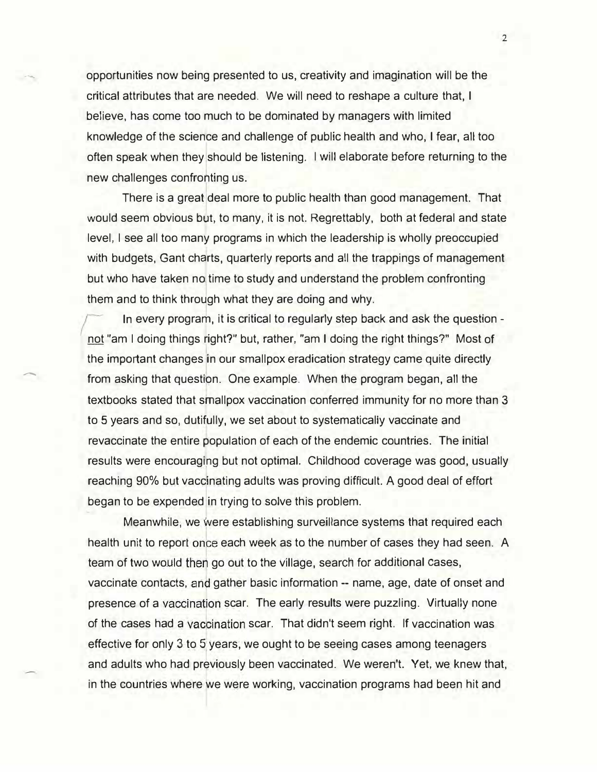opportunities now being presented to us, creativity and imagination will be the critical attributes that are needed. We will need to reshape a culture that, I believe, has come too much to be dominated by managers with limited knowledge of the science and challenge of public health and who, I fear, all too often speak when they should be listening. I will elaborate before returning to the new challenges confronting us.

There is a great deal more to public health than good management. That would seem obvious but, to many, it is not. Regrettably, both at federal and state level, I see all too many programs in which the leadership is wholly preoccupied with budgets, Gant charts, quarterly reports and all the trappings of management but who have taken no time to study and understand the problem confronting them and to think through what they are doing and why.

 $\left($ In every program, it is critical to regularly step back and ask the question not "am I doing things right?" but, rather, "am I doing the right things?" Most of the important changes in our smallpox eradication strategy came quite directly from asking that question. One example. When the program began, all the textbooks stated that smallpox vaccination conferred immunity for no more than 3 to 5 years and so, dutifully, we set about to systematically vaccinate and revaccinate the entire population of each of the endemic countries. The initial results were encouraging but not optimal. Childhood coverage was good, usually reaching 90% but vaccinating adults was proving difficult. A good deal of effort began to be expended in trying to solve this problem.

-

I

Meanwhile, we were establishing surveillance systems that required each health unit to report once each week as to the number of cases they had seen. A team of two would then go out to the village, search for additional cases, vaccinate contacts, and gather basic information -- name, age, date of onset and presence of a vaccination scar. The early results were puzzling. Virtually none of the cases had a vaccination scar. That didn't seem right. If vaccination was effective for only 3 to 5 years, we ought to be seeing cases among teenagers and adults who had previously been vaccinated. We weren't. Yet, we knew that, in the countries where we were working, vaccination programs had been hit and

2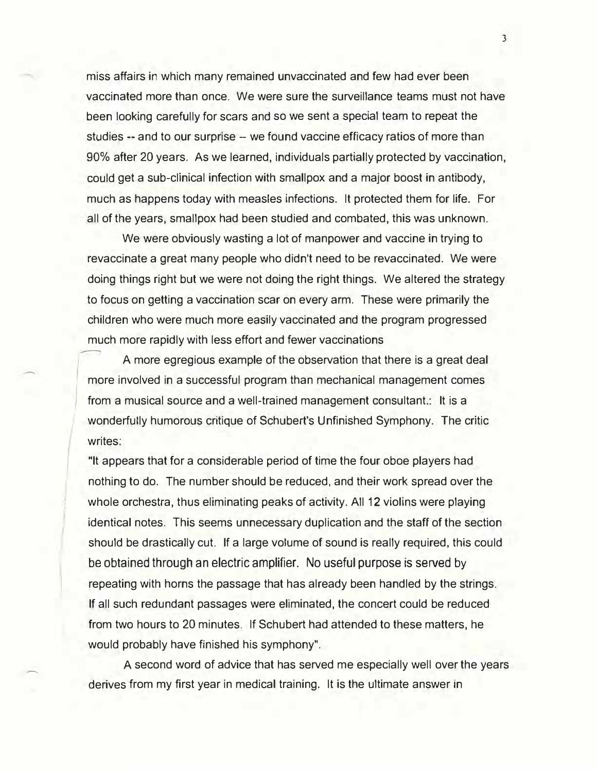miss affairs in which many remained unvaccinated and few had ever been vaccinated more than once. We were sure the surveillance teams must not have been looking carefully for scars and so we sent a special team to repeat the studies -- and to our surprise -- we found vaccine efficacy ratios of more than 90% after 20 years. As we learned, individuals partially protected by vaccination, could get a sub-clinical infection with smallpox and a major boost in antibody, much as happens today with measles infections. It protected them for life. For all of the years, smallpox had been studied and combated, this was unknown.

We were obviously wasting a lot of manpower and vaccine in trying to revaccinate a great many people who didn't need to be revaccinated. We were doing things right but we were not doing the right things. We altered the strategy to focus on getting a vaccination scar on every arm. These were primarily the children who were much more easily vaccinated and the program progressed much more rapidly with less effort and fewer vaccinations

A more egregious example of the observation that there is a great deal more involved in a successful program than mechanical management comes from a musical source and a well-trained management consultant.: It is a wonderfully humorous critique of Schubert's Unfinished Symphony. The critic writes:

"It appears that for a considerable period of time the four oboe players had nothing to do. The number should be reduced, and their work spread over the whole orchestra, thus eliminating peaks of activity. All 12 violins were playing identical notes. This seems unnecessary duplication and the staff of the section should be drastically cut. If a large volume of sound is really required, this could be obtained through an electric amplifier. No useful purpose is served by repeating with horns the passage that has already been handled by the strings. If all such redundant passages were eliminated, the concert could be reduced from two hours to 20 minutes. If Schubert had attended to these matters, he would probably have finished his symphony".

A second word of advice that has served me especially well over the years derives from my first year in medical training. It is the ultimate answer in

3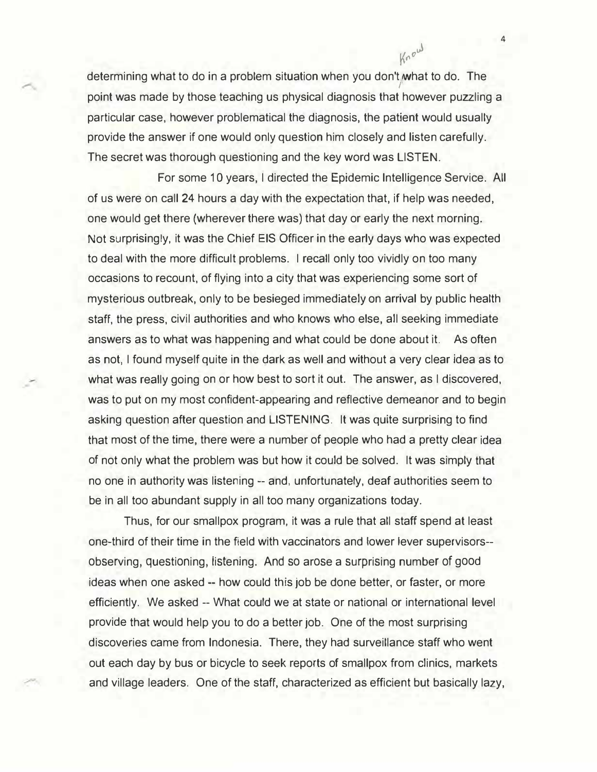determining what to do in a problem situation when you don't what to do. The } point was made by those teaching us physical diagnosis that however puzzling a particular case, however problematical the diagnosis, the patient would usually provide the answer if one would only question him closely and listen carefully. The secret was thorough questioning and the key word was LISTEN.

For some 10 years, I directed the Epidemic Intelligence Service. All of us were on call 24 hours a day with the expectation that, if help was needed, one would get there (wherever there was) that day or early the next morning. Not surprisingly, it was the Chief EIS Officer in the early days who was expected to deal with the more difficult problems. I recall only too vividly on too many occasions to recount, of flying into a city that was experiencing some sort of mysterious outbreak, only to be besieged immediately on arrival by public health staff, the press, civil authorities and who knows who else, all seeking immediate answers as to what was happening and what could be done about it. As often as not, I found myself quite in the dark as well and without a very clear idea as to what was really going on or how best to sort it out. The answer, as I discovered, was to put on my most confident-appearing and reflective demeanor and to begin asking question after question and LISTENING. It was quite surprising to find that most of the time, there were a number of people who had a pretty clear idea of not only what the problem was but how it could be solved. It was simply that no one in authority was listening -- and, unfortunately, deaf authorities seem to be in all too abundant supply in all too many organizations today.

Thus, for our smallpox program, it was a rule that all staff spend at least one-third of their time in the field with vaccinators and lower lever supervisors observing, questioning, listening. And so arose a surprising number of good ideas when one asked -- how could this job be done better, or faster, or more efficiently. We asked -- What could we at state or national or international level provide that would help you to do a better job. One of the most surprising discoveries came from Indonesia. There, they had surveillance staff who went out each day by bus or bicycle to seek reports of smallpox from clinics, markets and village leaders. One of the staff, characterized as efficient but basically lazy,

4

Know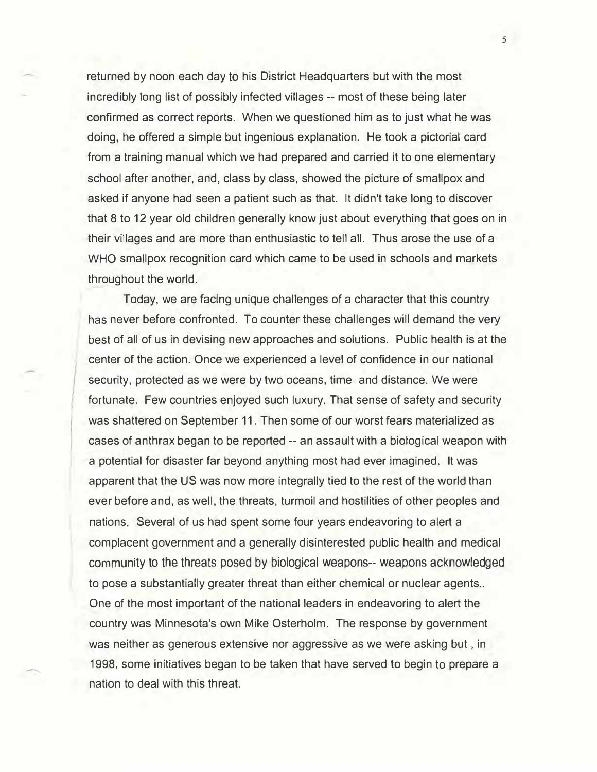returned by noon each day to his District Headquarters but with the most incredibly long list of possibly infected villages -- most of these being later confirmed as correct reports. When we questioned him as to just what he was doing, he offered a simple but ingenious explanation. He took a pictorial card from a training manual which we had prepared and carried it to one elementary school after another, and, class by class, showed the picture of smallpox and asked if anyone had seen a patient such as that. It didn't take long to discover that 8 to 12 year old children generally know just about everything that goes on in their villages and are more than enthusiastic to tell all. Thus arose the use of a WHO smallpox recognition card which came to be used in schools and markets throughout the world.

Today, we are facing unique challenges of a character that this country has never before confronted. To counter these challenges will demand the very best of all of us in devising new approaches and solutions. Public health is at the center of the action. Once we experienced a level of confidence in our national security, protected as we were by two oceans, time and distance. We were fortunate. Few countries enjoyed such luxury. That sense of safety and security was shattered on September 11. Then some of our worst fears materialized as cases of anthrax began to be reported -- an assault with a biological weapon with a potential for disaster far beyond anything most had ever imagined. It was apparent that the US was now more integrally tied to the rest of the world than ever before and, as well, the threats, turmoil and hostilities of other peoples and nations. Several of us had spent some four years endeavoring to alert a complacent government and a generally disinterested public health and medical community to the threats posed by biological weapons-- weapons acknowledged to pose a substantially greater threat than either chemical or nuclear agents.. One of the most important of the national leaders in endeavoring to alert the country was Minnesota's own Mike Osterholm. The response by government was neither as generous extensive nor aggressive as we were asking but , in 1998, some initiatives began to be taken that have served to begin to prepare a nation to deal with this threat.

-

5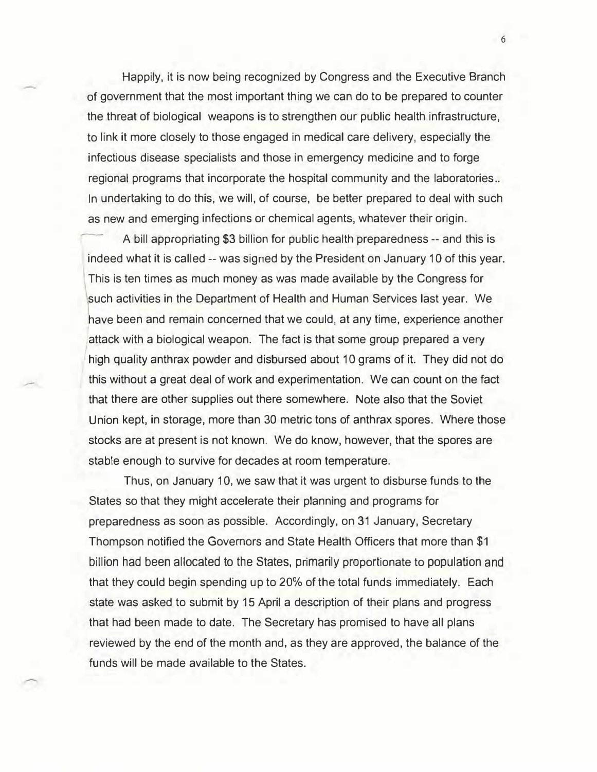Happily, it is now being recognized by Congress and the Executive Branch of government that the most important thing we can do to be prepared to counter the threat of biological weapons is to strengthen our public health infrastructure, to link it more closely to those engaged in medical care delivery, especially the infectious disease specialists and those in emergency medicine and to forge regional programs that incorporate the hospital community and the laboratories .. In undertaking to do this, we will, of course, be better prepared to deal with such as new and emerging infections or chemical agents, whatever their origin.

A bill appropriating \$3 billion for public health preparedness -- and this is indeed what it is called -- was signed by the President on January 10 of this year. This is ten times as much money as was made available by the Congress for such activities in the Department of Health and Human Services last year. We have been and remain concerned that we could, at any time, experience another attack with a biological weapon. The fact is that some group prepared a very high quality anthrax powder and disbursed about 10 grams of it. They did not do this without a great deal of work and experimentation. We can count on the fact that there are other supplies out there somewhere. Note also that the Soviet Union kept, in storage, more than 30 metric tons of anthrax spores. Where those stocks are at present is not known. We do know, however, that the spores are stable enough to survive for decades at room temperature.

-

Thus, on January 10, we saw that it was urgent to disburse funds to the States so that they might accelerate their planning and programs for preparedness as soon as possible. Accordingly, on 31 January, Secretary Thompson notified the Governors and State Health Officers that more than \$1 billion had been allocated to the States, primarily proportionate to population and that they could begin spending up to 20% of the total funds immediately. Each state was asked to submit by 15 April a description of their plans and progress that had been made to date. The Secretary has promised to have all plans reviewed by the end of the month and, as they are approved, the balance of the funds will be made available to the States.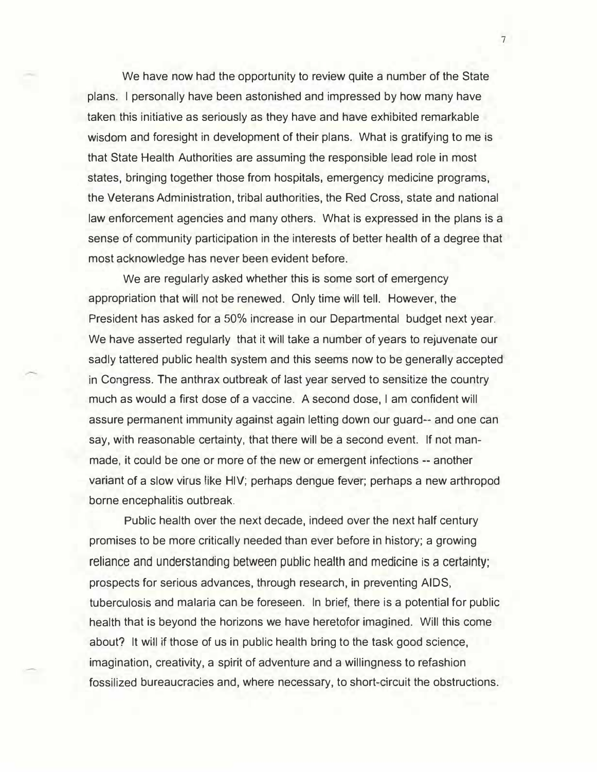We have now had the opportunity to review quite a number of the State plans. I personally have been astonished and impressed by how many have taken this initiative as seriously as they have and have exhibited remarkable wisdom and foresight in development of their plans. What is gratifying to me is that State Health Authorities are assuming the responsible lead role in most states, bringing together those from hospitals, emergency medicine programs, the Veterans Administration, tribal authorities, the Red Cross, state and national law enforcement agencies and many others. What is expressed in the plans is a sense of community participation in the interests of better health of a degree that most acknowledge has never been evident before.

We are regularly asked whether this is some sort of emergency appropriation that will not be renewed. Only time will tell. However, the President has asked for a 50% increase in our Departmental budget next year. We have asserted regularly that it will take a number of years to rejuvenate our sadly tattered public health system and this seems now to be generally accepted in Congress. The anthrax outbreak of last year served to sensitize the country much as would a first dose of a vaccine. A second dose, I am confident will assure permanent immunity against again letting down our guard-- and one can say, with reasonable certainty, that there will be a second event. If not manmade, it could be one or more of the new or emergent infections -- another variant of a slow virus like HIV; perhaps dengue fever; perhaps a new arthropod borne encephalitis outbreak.

Public health over the next decade, indeed over the next half century promises to be more critically needed than ever before in history; a growing reliance and understanding between public health and medicine is a certainty; prospects for serious advances, through research, in preventing AIDS, tuberculosis and malaria can be foreseen. In brief, there is a potential for public health that is beyond the horizons we have heretofor imagined. Will this come about? It will if those of us in public health bring to the task good science, imagination, creativity, a spirit of adventure and a willingness to refashion fossilized bureaucracies and, where necessary, to short-circuit the obstructions.